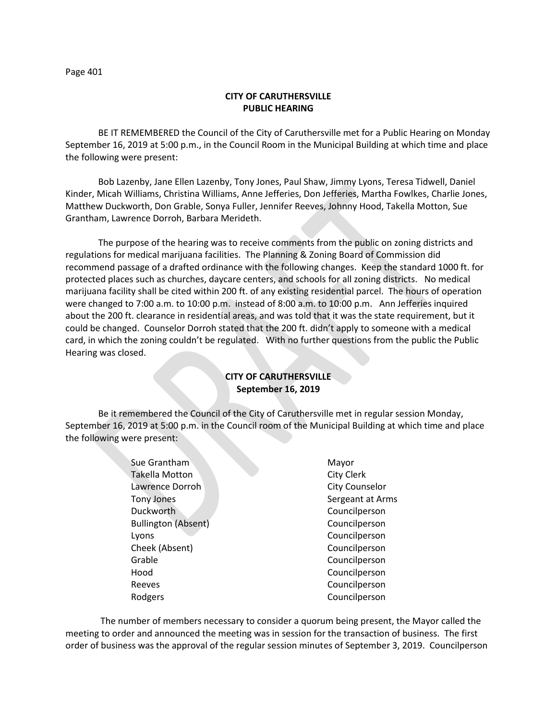Page 401

## **CITY OF CARUTHERSVILLE PUBLIC HEARING**

BE IT REMEMBERED the Council of the City of Caruthersville met for a Public Hearing on Monday September 16, 2019 at 5:00 p.m., in the Council Room in the Municipal Building at which time and place the following were present:

Bob Lazenby, Jane Ellen Lazenby, Tony Jones, Paul Shaw, Jimmy Lyons, Teresa Tidwell, Daniel Kinder, Micah Williams, Christina Williams, Anne Jefferies, Don Jefferies, Martha Fowlkes, Charlie Jones, Matthew Duckworth, Don Grable, Sonya Fuller, Jennifer Reeves, Johnny Hood, Takella Motton, Sue Grantham, Lawrence Dorroh, Barbara Merideth.

The purpose of the hearing was to receive comments from the public on zoning districts and regulations for medical marijuana facilities. The Planning & Zoning Board of Commission did recommend passage of a drafted ordinance with the following changes. Keep the standard 1000 ft. for protected places such as churches, daycare centers, and schools for all zoning districts. No medical marijuana facility shall be cited within 200 ft. of any existing residential parcel. The hours of operation were changed to 7:00 a.m. to 10:00 p.m. instead of 8:00 a.m. to 10:00 p.m. Ann Jefferies inquired about the 200 ft. clearance in residential areas, and was told that it was the state requirement, but it could be changed. Counselor Dorroh stated that the 200 ft. didn't apply to someone with a medical card, in which the zoning couldn't be regulated. With no further questions from the public the Public Hearing was closed.

# **CITY OF CARUTHERSVILLE September 16, 2019**

Be it remembered the Council of the City of Caruthersville met in regular session Monday, September 16, 2019 at 5:00 p.m. in the Council room of the Municipal Building at which time and place the following were present:

> Sue Grantham Mayor Takella Motton City Clerk Lawrence Dorroh City Counselor Tony Jones **Sergeant at Arms** Duckworth Councilperson Bullington (Absent) Council person Lyons Councilperson Cheek (Absent) Councilperson Grable **Council** Development Council person Hood Councilperson Reeves **Council person** Rodgers **Council** Product Council person

 The number of members necessary to consider a quorum being present, the Mayor called the meeting to order and announced the meeting was in session for the transaction of business. The first order of business was the approval of the regular session minutes of September 3, 2019. Councilperson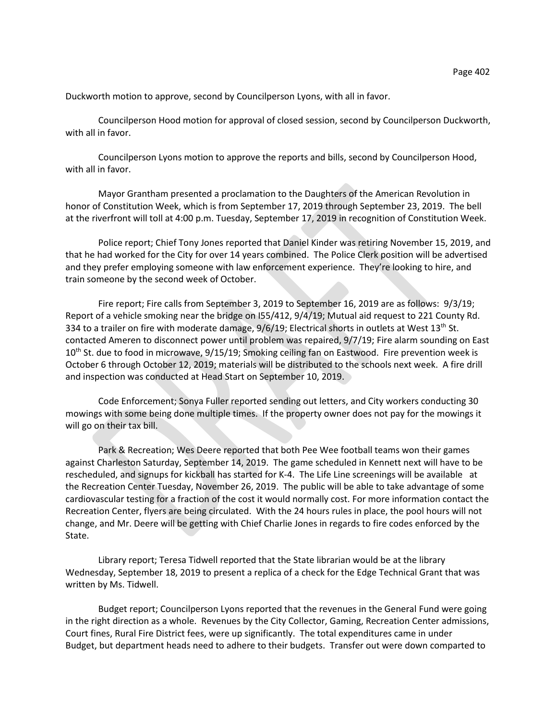Duckworth motion to approve, second by Councilperson Lyons, with all in favor.

Councilperson Hood motion for approval of closed session, second by Councilperson Duckworth, with all in favor.

Councilperson Lyons motion to approve the reports and bills, second by Councilperson Hood, with all in favor.

Mayor Grantham presented a proclamation to the Daughters of the American Revolution in honor of Constitution Week, which is from September 17, 2019 through September 23, 2019. The bell at the riverfront will toll at 4:00 p.m. Tuesday, September 17, 2019 in recognition of Constitution Week.

Police report; Chief Tony Jones reported that Daniel Kinder was retiring November 15, 2019, and that he had worked for the City for over 14 years combined. The Police Clerk position will be advertised and they prefer employing someone with law enforcement experience. They're looking to hire, and train someone by the second week of October.

Fire report; Fire calls from September 3, 2019 to September 16, 2019 are as follows: 9/3/19; Report of a vehicle smoking near the bridge on I55/412, 9/4/19; Mutual aid request to 221 County Rd. 334 to a trailer on fire with moderate damage,  $9/6/19$ ; Electrical shorts in outlets at West 13<sup>th</sup> St. contacted Ameren to disconnect power until problem was repaired, 9/7/19; Fire alarm sounding on East 10<sup>th</sup> St. due to food in microwave, 9/15/19; Smoking ceiling fan on Eastwood. Fire prevention week is October 6 through October 12, 2019; materials will be distributed to the schools next week. A fire drill and inspection was conducted at Head Start on September 10, 2019.

Code Enforcement; Sonya Fuller reported sending out letters, and City workers conducting 30 mowings with some being done multiple times. If the property owner does not pay for the mowings it will go on their tax bill.

Park & Recreation; Wes Deere reported that both Pee Wee football teams won their games against Charleston Saturday, September 14, 2019. The game scheduled in Kennett next will have to be rescheduled, and signups for kickball has started for K-4. The Life Line screenings will be available at the Recreation Center Tuesday, November 26, 2019. The public will be able to take advantage of some cardiovascular testing for a fraction of the cost it would normally cost. For more information contact the Recreation Center, flyers are being circulated. With the 24 hours rules in place, the pool hours will not change, and Mr. Deere will be getting with Chief Charlie Jones in regards to fire codes enforced by the State.

Library report; Teresa Tidwell reported that the State librarian would be at the library Wednesday, September 18, 2019 to present a replica of a check for the Edge Technical Grant that was written by Ms. Tidwell.

Budget report; Councilperson Lyons reported that the revenues in the General Fund were going in the right direction as a whole. Revenues by the City Collector, Gaming, Recreation Center admissions, Court fines, Rural Fire District fees, were up significantly. The total expenditures came in under Budget, but department heads need to adhere to their budgets. Transfer out were down comparted to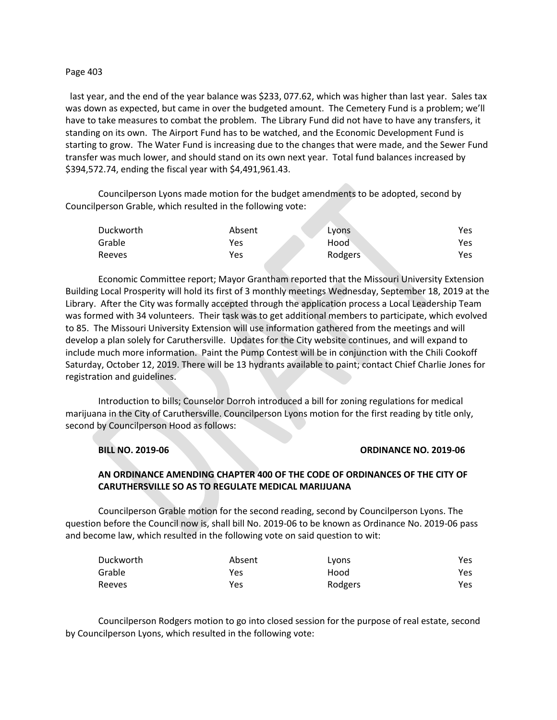### Page 403

last year, and the end of the year balance was \$233, 077.62, which was higher than last year. Sales tax was down as expected, but came in over the budgeted amount. The Cemetery Fund is a problem; we'll have to take measures to combat the problem. The Library Fund did not have to have any transfers, it standing on its own. The Airport Fund has to be watched, and the Economic Development Fund is starting to grow. The Water Fund is increasing due to the changes that were made, and the Sewer Fund transfer was much lower, and should stand on its own next year. Total fund balances increased by \$394,572.74, ending the fiscal year with \$4,491,961.43.

Councilperson Lyons made motion for the budget amendments to be adopted, second by Councilperson Grable, which resulted in the following vote:

| Duckworth | Absent | Lyons   | Yes |
|-----------|--------|---------|-----|
| Grable    | Yes    | Hood    | Yes |
| Reeves    | Yes    | Rodgers | Yes |

Economic Committee report; Mayor Grantham reported that the Missouri University Extension Building Local Prosperity will hold its first of 3 monthly meetings Wednesday, September 18, 2019 at the Library. After the City was formally accepted through the application process a Local Leadership Team was formed with 34 volunteers. Their task was to get additional members to participate, which evolved to 85. The Missouri University Extension will use information gathered from the meetings and will develop a plan solely for Caruthersville. Updates for the City website continues, and will expand to include much more information. Paint the Pump Contest will be in conjunction with the Chili Cookoff Saturday, October 12, 2019. There will be 13 hydrants available to paint; contact Chief Charlie Jones for registration and guidelines.

Introduction to bills; Counselor Dorroh introduced a bill for zoning regulations for medical marijuana in the City of Caruthersville. Councilperson Lyons motion for the first reading by title only, second by Councilperson Hood as follows:

### **BILL NO. 2019-06 ORDINANCE NO. 2019-06**

# **AN ORDINANCE AMENDING CHAPTER 400 OF THE CODE OF ORDINANCES OF THE CITY OF CARUTHERSVILLE SO AS TO REGULATE MEDICAL MARIJUANA**

Councilperson Grable motion for the second reading, second by Councilperson Lyons. The question before the Council now is, shall bill No. 2019-06 to be known as Ordinance No. 2019-06 pass and become law, which resulted in the following vote on said question to wit:

| Duckworth     | Absent | Lyons   | Yes  |
|---------------|--------|---------|------|
| Grable        | Yes    | Hood    | Yes  |
| <b>Reeves</b> | Yes    | Rodgers | Yes. |

Councilperson Rodgers motion to go into closed session for the purpose of real estate, second by Councilperson Lyons, which resulted in the following vote: